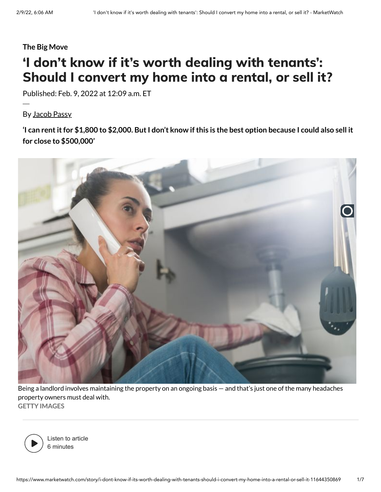#### **The Big Move**

# 'I don't know if it's worth dealing with tenants': Should I convert my home into a rental, or sell it?

Published: Feb. 9, 2022 at 12:09 a.m. ET

By [Jacob Passy](https://www.marketwatch.com/author/jacob-passy)

'I can rent it for \$1,800 to \$2,000. But I don't know if this is the best option because I could also sell it **for close to \$500,000'**



Being a landlord involves maintaining the property on an ongoing basis — and that's just one of the many headaches property owners must deal with. **GETTY IMAGES**



Listen to article 6 minutes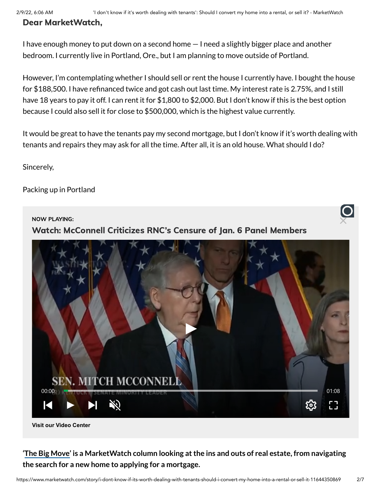## Dear MarketWatch,

I have enough money to put down on a second home — I need a slightly bigger place and another bedroom. I currently live in Portland, Ore., but I am planning to move outside of Portland.

However, I'm contemplating whether I should sell or rent the house I currently have. I bought the house for \$188,500. I have refinanced twice and got cash out last time. My interest rate is 2.75%, and I still have 18 years to pay it off. I can rent it for \$1,800 to \$2,000. But I don't know if this is the best option because I could also sell it for close to \$500,000, which is the highest value currently.

It would be great to have the tenants pay my second mortgage, but I don't know if it's worth dealing with tenants and repairs they may ask for all the time. After all, it is an old house. What should I do?

Sincerely,

Packing up in Portland



**[Visit our Video Center](https://www.marketwatch.com/video)**

## **'The Big [Move'](https://www.marketwatch.com/column/the-big-move?mod=article_inline&mod=article_inline&mod=article_inline&mod=article_inline) is a MarketWatch column looking atthe ins and outs of real estate, from navigating the search for a new home to applying for a mortgage.**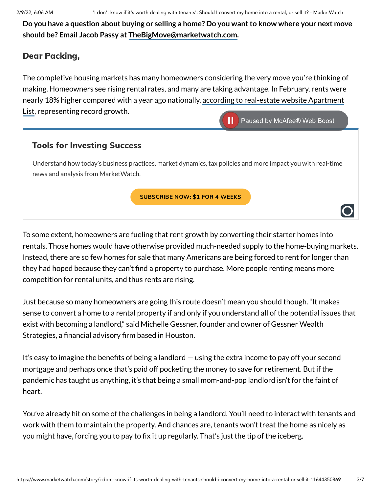Do you have a question about buying or selling a home? Do you want to know where your next move **should be? Email Jacob Passy at [TheBigMove@marketwatch.com.](mailto:TheBigMove@marketwatch.com)**

## Dear Packing,

The completive housing markets has many homeowners considering the very move you're thinking of making. Homeowners see rising rental rates, and many are taking advantage. In February, rents were nearly 18% higher [compared with](https://www.apartmentlist.com/research/national-rent-data) a year ago nationally, according to real-estate website Apartment List, representing record growth.



To some extent, homeowners are fueling that rent growth by converting their starter homes into rentals. Those homes would have otherwise provided much-needed supply to the home-buying markets. Instead, there are so few homes for sale that many Americans are being forced to rent for longer than they had hoped because they can't find a property to purchase. More people renting means more competition for rental units, and thus rents are rising.

Just because so many homeowners are going this route doesn't mean you should though. "It makes sense to convert a home to a rental property if and only if you understand all of the potential issues that exist with becoming a landlord," said Michelle Gessner, founder and owner of Gessner Wealth Strategies, a financial advisory firm based in Houston.

It's easy to imagine the benefits of being a landlord — using the extra income to pay off your second mortgage and perhaps once that's paid off pocketing the money to save for retirement. But if the pandemic has taught us anything, it's that being a small mom-and-pop landlord isn't for the faint of heart.

You've already hit on some of the challenges in being a landlord. You'll need to interact with tenants and work with them to maintain the property. And chances are, tenants won't treat the home as nicely as you might have, forcing you to pay to fix it up regularly. That's just the tip of the iceberg.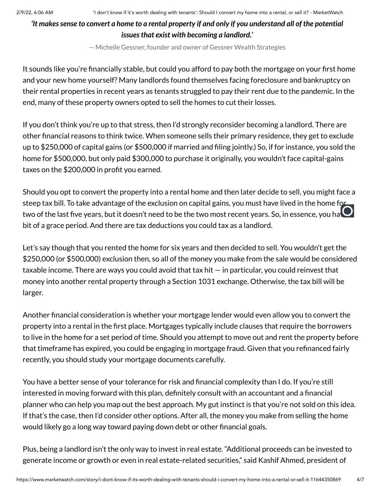#### 'It makes sense to convert a home to a rental property if and only if you understand all of the potential *issuesthat exist with becoming a landlord.'*

— Michelle Gessner, founder and owner of Gessner Wealth Strategies

It sounds like you're financially stable, but could you afford to pay both the mortgage on your first home and your new home yourself? Many landlords found themselves facing foreclosure and bankruptcy on their rental properties in recent years as tenants struggled to pay their rent due to the pandemic. In the end, many of these property owners opted to sell the homes to cut their losses.

If you don't think you're up to that stress, then I'd strongly reconsider becoming a landlord. There are other financial reasons to think twice. When someone sells their primary residence, they get to exclude up to \$250,000 of capital gains (or \$500,000 if married and filing jointly.) So, if for instance, you sold the home for \$500,000, but only paid \$300,000 to purchase it originally, you wouldn't face capital-gains taxes on the \$200,000 in profit you earned.

Should you opt to convert the property into a rental home and then later decide to sell, you might face a steep tax bill. To take advantage of the exclusion on capital gains, you must have lived in the home for two of the last five years, but it doesn't need to be the two most recent years. So, in essence, you hat bit of a grace period. And there are tax deductions you could tax as a landlord.

Let's say though that you rented the home for six years and then decided to sell. You wouldn't get the \$250,000 (or \$500,000) exclusion then, so all of the money you make from the sale would be considered taxable income. There are ways you could avoid that tax hit — in particular, you could reinvest that money into another rental property through a Section 1031 exchange. Otherwise, the tax bill will be larger.

Another financial consideration is whether your mortgage lender would even allow you to convert the property into a rental in the first place. Mortgages typically include clauses that require the borrowers to live in the home for a set period of time. Should you attempt to move out and rent the property before that timeframe has expired, you could be engaging in mortgage fraud. Given that you refinanced fairly recently, you should study your mortgage documents carefully.

You have a better sense of your tolerance for risk and financial complexity than I do. If you're still interested in moving forward with this plan, definitely consult with an accountant and a financial planner who can help you map out the best approach. My gut instinct is that you're not sold on this idea. If that's the case, then I'd consider other options. After all, the money you make from selling the home would likely go a long way toward paying down debt or other financial goals.

Plus, being a landlord isn't the only way to invest in real estate. "Additional proceeds can be invested to generate income or growth or even in real estate-related securities," said Kashif Ahmed, president of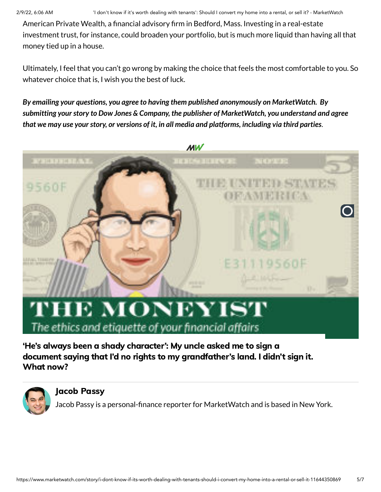American Private Wealth, a financial advisory firm in Bedford, Mass. Investing in a real-estate investment trust, for instance, could broaden your portfolio, but is much more liquid than having all that money tied up in a house.

Ultimately, I feel that you can't go wrong by making the choice that feels the most comfortable to you. So whatever choice that is, I wish you the best of luck.

*By emailing your questions, you agree to having them published anonymously on MarketWatch. By submitting yourstory to Dow Jones & Company, the publisher of MarketWatch, you understand and agree* that we may use your story, or versions of it, in all media and platforms, including via third parties.



# **IE MONEYIST** The ethics and etiquette of your financial affairs

'He's always been a shady character': My uncle asked me to sign a document saying that I'd no rights to my [grandfather's](https://www.marketwatch.com/story/hes-always-been-a-shady-character-my-uncle-asked-me-to-sign-a-document-saying-that-id-no-rights-to-my-grandfathers-land-i-didnt-what-now-11644210450?mod=mw_more_headlines) land. I didn't sign it. What now?



#### Jacob [Passy](https://www.marketwatch.com/author/jacob-passy?mod=MW_author_bio)

Jacob Passy is a personal-finance reporter for MarketWatch and is based in New York.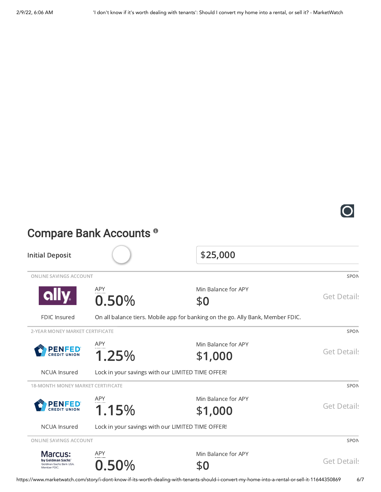

# Compare Bank Accounts